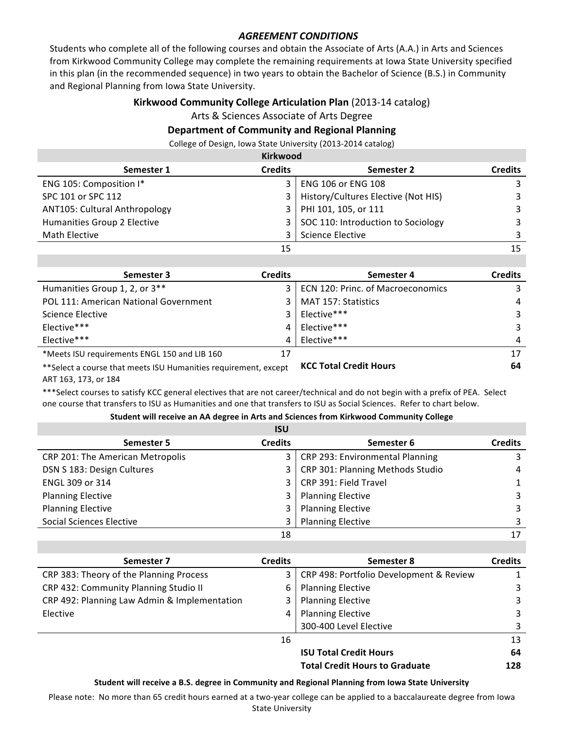## **AGREEMENT CONDITIONS**

Students who complete all of the following courses and obtain the Associate of Arts (A.A.) in Arts and Sciences from Kirkwood Community College may complete the remaining requirements at lowa State University specified in this plan (in the recommended sequence) in two years to obtain the Bachelor of Science (B.S.) in Community and Regional Planning from Iowa State University.

## **Kirkwood Community College Articulation Plan** (2013-14 catalog)

Arts & Sciences Associate of Arts Degree

## **Department of Community and Regional Planning**

College of Design, Iowa State University (2013-2014 catalog)

| <b>Kirkwood</b>               |                |                                     |                |
|-------------------------------|----------------|-------------------------------------|----------------|
| Semester 1                    | <b>Credits</b> | Semester 2                          | <b>Credits</b> |
| ENG 105: Composition I*       | 3              | <b>ENG 106 or ENG 108</b>           | 3              |
| SPC 101 or SPC 112            | 3              | History/Cultures Elective (Not HIS) | 3              |
| ANT105: Cultural Anthropology | 3              | PHI 101, 105, or 111                | 3              |
| Humanities Group 2 Elective   | 3              | SOC 110: Introduction to Sociology  | 3              |
| Math Elective                 |                | <b>Science Elective</b>             | २              |
|                               | 15             |                                     | 15             |

| Semester 3                                                       | <b>Credits</b> | Semester 4                        | <b>Credits</b> |
|------------------------------------------------------------------|----------------|-----------------------------------|----------------|
| Humanities Group 1, 2, or 3**                                    | 3              | ECN 120: Princ. of Macroeconomics | 3              |
| POL 111: American National Government                            | 3              | MAT 157: Statistics               | 4              |
| Science Elective                                                 | 3              | Elective***                       | 3              |
| Elective***                                                      | 4              | Elective***                       | 3              |
| Elective***                                                      | 4              | Elective***                       | 4              |
| *Meets ISU requirements ENGL 150 and LIB 160                     | 17             |                                   | 17             |
| ** Select a course that meets ISU Humanities requirement, except |                | <b>KCC Total Credit Hours</b>     | 64             |

ART 163, 173, or 184

\*\*\*Select courses to satisfy KCC general electives that are not career/technical and do not begin with a prefix of PEA. Select one course that transfers to ISU as Humanities and one that transfers to ISU as Social Sciences. Refer to chart below.

## Student will receive an AA degree in Arts and Sciences from Kirkwood Community College

|                                  | <b>ISU</b>     |                                  |                |
|----------------------------------|----------------|----------------------------------|----------------|
| Semester 5                       | <b>Credits</b> | Semester 6                       | <b>Credits</b> |
| CRP 201: The American Metropolis | 3              | CRP 293: Environmental Planning  | 3              |
| DSN S 183: Design Cultures       | 3              | CRP 301: Planning Methods Studio | 4              |
| ENGL 309 or 314                  | 3              | CRP 391: Field Travel            | $\mathbf{1}$   |
| <b>Planning Elective</b>         | 3              | <b>Planning Elective</b>         | 3              |
| <b>Planning Elective</b>         | 3              | <b>Planning Elective</b>         | 3              |
| <b>Social Sciences Elective</b>  | 3              | <b>Planning Elective</b>         | 3              |
|                                  | 18             |                                  | 17             |

| Semester 7                                   | <b>Credits</b> | Semester 8                              | <b>Credits</b> |
|----------------------------------------------|----------------|-----------------------------------------|----------------|
| CRP 383: Theory of the Planning Process      | 3              | CRP 498: Portfolio Development & Review |                |
| CRP 432: Community Planning Studio II        | 6              | <b>Planning Elective</b>                | 3              |
| CRP 492: Planning Law Admin & Implementation | 3              | <b>Planning Elective</b>                | 3              |
| Elective                                     | 4              | <b>Planning Elective</b>                | 3              |
|                                              |                | 300-400 Level Elective                  | 3              |
|                                              | 16             |                                         | 13             |
|                                              |                | <b>ISU Total Credit Hours</b>           | 64             |
|                                              |                | <b>Total Credit Hours to Graduate</b>   | 128            |

Student will receive a B.S. degree in Community and Regional Planning from lowa State University

Please note: No more than 65 credit hours earned at a two-year college can be applied to a baccalaureate degree from Iowa **State University**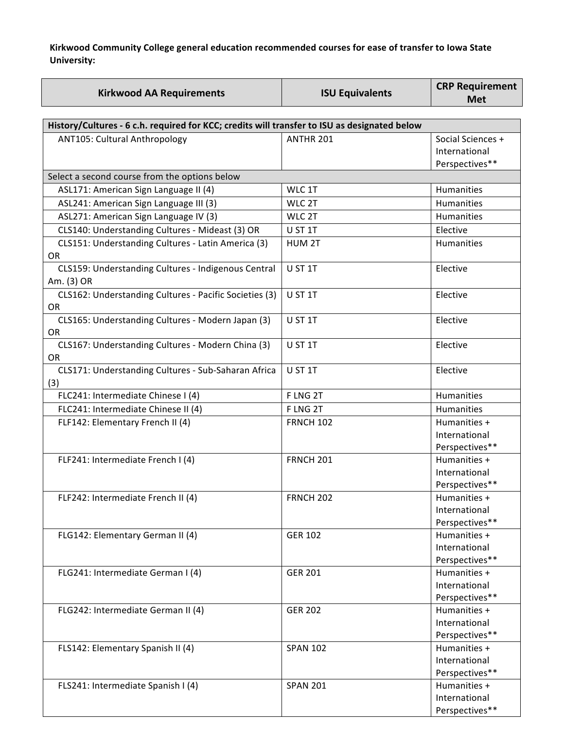Kirkwood Community College general education recommended courses for ease of transfer to Iowa State **University:**

|                                                                                              |                        | <b>CRP Requirement</b> |  |  |
|----------------------------------------------------------------------------------------------|------------------------|------------------------|--|--|
| <b>Kirkwood AA Requirements</b>                                                              | <b>ISU Equivalents</b> | <b>Met</b>             |  |  |
|                                                                                              |                        |                        |  |  |
| History/Cultures - 6 c.h. required for KCC; credits will transfer to ISU as designated below |                        |                        |  |  |
| ANT105: Cultural Anthropology                                                                | ANTHR 201              | Social Sciences +      |  |  |
|                                                                                              |                        | International          |  |  |
|                                                                                              |                        | Perspectives**         |  |  |
| Select a second course from the options below                                                |                        |                        |  |  |
| ASL171: American Sign Language II (4)                                                        | WLC 1T                 | Humanities             |  |  |
| ASL241: American Sign Language III (3)                                                       | WLC 2T                 | Humanities             |  |  |
| ASL271: American Sign Language IV (3)                                                        | WLC 2T                 | <b>Humanities</b>      |  |  |
| CLS140: Understanding Cultures - Mideast (3) OR                                              | U ST 1T                | Elective               |  |  |
| CLS151: Understanding Cultures - Latin America (3)                                           | HUM <sub>2T</sub>      | <b>Humanities</b>      |  |  |
| <b>OR</b>                                                                                    |                        |                        |  |  |
| CLS159: Understanding Cultures - Indigenous Central                                          | U ST 1T                | Elective               |  |  |
| Am. (3) OR                                                                                   |                        |                        |  |  |
| CLS162: Understanding Cultures - Pacific Societies (3)                                       | U ST 1T                | Elective               |  |  |
| <b>OR</b>                                                                                    |                        |                        |  |  |
| CLS165: Understanding Cultures - Modern Japan (3)                                            | U ST 1T                | Elective               |  |  |
| OR                                                                                           |                        |                        |  |  |
| CLS167: Understanding Cultures - Modern China (3)                                            | U ST 1T                | Elective               |  |  |
| <b>OR</b>                                                                                    |                        |                        |  |  |
| CLS171: Understanding Cultures - Sub-Saharan Africa                                          | U ST 1T                | Elective               |  |  |
| (3)                                                                                          |                        |                        |  |  |
| FLC241: Intermediate Chinese I (4)                                                           | F LNG 2T               | <b>Humanities</b>      |  |  |
| FLC241: Intermediate Chinese II (4)                                                          | F LNG 2T               | <b>Humanities</b>      |  |  |
| FLF142: Elementary French II (4)                                                             | <b>FRNCH 102</b>       | Humanities +           |  |  |
|                                                                                              |                        | International          |  |  |
|                                                                                              |                        | Perspectives**         |  |  |
| FLF241: Intermediate French I (4)                                                            | <b>FRNCH 201</b>       | Humanities +           |  |  |
|                                                                                              |                        | International          |  |  |
|                                                                                              |                        | Perspectives**         |  |  |
| FLF242: Intermediate French II (4)                                                           | <b>FRNCH 202</b>       | Humanities +           |  |  |
|                                                                                              |                        | International          |  |  |
|                                                                                              |                        | Perspectives**         |  |  |
| FLG142: Elementary German II (4)                                                             | <b>GER 102</b>         | Humanities +           |  |  |
|                                                                                              |                        | International          |  |  |
|                                                                                              |                        | Perspectives**         |  |  |
| FLG241: Intermediate German I (4)                                                            | <b>GER 201</b>         | Humanities +           |  |  |
|                                                                                              |                        | International          |  |  |
|                                                                                              |                        | Perspectives**         |  |  |
| FLG242: Intermediate German II (4)                                                           | <b>GER 202</b>         | Humanities +           |  |  |
|                                                                                              |                        | International          |  |  |
|                                                                                              |                        | Perspectives**         |  |  |
| FLS142: Elementary Spanish II (4)                                                            | <b>SPAN 102</b>        | Humanities +           |  |  |
|                                                                                              |                        | International          |  |  |
|                                                                                              |                        | Perspectives**         |  |  |
| FLS241: Intermediate Spanish I (4)                                                           | <b>SPAN 201</b>        | Humanities +           |  |  |
|                                                                                              |                        | International          |  |  |
|                                                                                              |                        | Perspectives**         |  |  |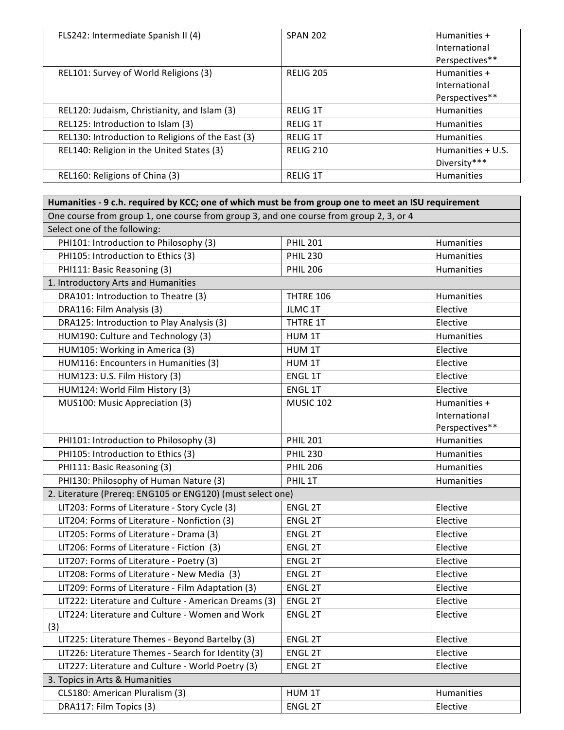| FLS242: Intermediate Spanish II (4)               | <b>SPAN 202</b>  | Humanities +      |
|---------------------------------------------------|------------------|-------------------|
|                                                   |                  | International     |
|                                                   |                  | Perspectives**    |
| REL101: Survey of World Religions (3)             | <b>RELIG 205</b> | Humanities +      |
|                                                   |                  | International     |
|                                                   |                  | Perspectives**    |
| REL120: Judaism, Christianity, and Islam (3)      | <b>RELIG 1T</b>  | <b>Humanities</b> |
| REL125: Introduction to Islam (3)                 | <b>RELIG 1T</b>  | Humanities        |
| REL130: Introduction to Religions of the East (3) | <b>RELIG 1T</b>  | <b>Humanities</b> |
| REL140: Religion in the United States (3)         | <b>RELIG 210</b> | Humanities + U.S. |
|                                                   |                  | Diversity***      |
| REL160: Religions of China (3)                    | <b>RELIG 1T</b>  | <b>Humanities</b> |

| Humanities - 9 c.h. required by KCC; one of which must be from group one to meet an ISU requirement |                  |                   |  |
|-----------------------------------------------------------------------------------------------------|------------------|-------------------|--|
| One course from group 1, one course from group 3, and one course from group 2, 3, or 4              |                  |                   |  |
| Select one of the following:                                                                        |                  |                   |  |
| PHI101: Introduction to Philosophy (3)                                                              | <b>PHIL 201</b>  | <b>Humanities</b> |  |
| PHI105: Introduction to Ethics (3)                                                                  | <b>PHIL 230</b>  | <b>Humanities</b> |  |
| PHI111: Basic Reasoning (3)                                                                         | <b>PHIL 206</b>  | Humanities        |  |
| 1. Introductory Arts and Humanities                                                                 |                  |                   |  |
| DRA101: Introduction to Theatre (3)                                                                 | THTRE 106        | Humanities        |  |
| DRA116: Film Analysis (3)                                                                           | JLMC 1T          | Elective          |  |
| DRA125: Introduction to Play Analysis (3)                                                           | THTRE 1T         | Elective          |  |
| HUM190: Culture and Technology (3)                                                                  | HUM 1T           | Humanities        |  |
| HUM105: Working in America (3)                                                                      | HUM 1T           | Elective          |  |
| HUM116: Encounters in Humanities (3)                                                                | HUM 1T           | Elective          |  |
| HUM123: U.S. Film History (3)                                                                       | ENGL 1T          | Elective          |  |
| HUM124: World Film History (3)                                                                      | ENGL 1T          | Elective          |  |
| MUS100: Music Appreciation (3)                                                                      | <b>MUSIC 102</b> | Humanities +      |  |
|                                                                                                     |                  | International     |  |
|                                                                                                     |                  | Perspectives**    |  |
| PHI101: Introduction to Philosophy (3)                                                              | <b>PHIL 201</b>  | Humanities        |  |
| PHI105: Introduction to Ethics (3)                                                                  | <b>PHIL 230</b>  | <b>Humanities</b> |  |
| PHI111: Basic Reasoning (3)                                                                         | <b>PHIL 206</b>  | Humanities        |  |
| PHI130: Philosophy of Human Nature (3)                                                              | PHIL 1T          | Humanities        |  |
| 2. Literature (Prereq: ENG105 or ENG120) (must select one)                                          |                  |                   |  |
| LIT203: Forms of Literature - Story Cycle (3)                                                       | <b>ENGL 2T</b>   | Elective          |  |
| LIT204: Forms of Literature - Nonfiction (3)                                                        | <b>ENGL 2T</b>   | Elective          |  |
| LIT205: Forms of Literature - Drama (3)                                                             | <b>ENGL 2T</b>   | Elective          |  |
| LIT206: Forms of Literature - Fiction (3)                                                           | ENGL 2T          | Elective          |  |
| LIT207: Forms of Literature - Poetry (3)                                                            | <b>ENGL 2T</b>   | Elective          |  |
| LIT208: Forms of Literature - New Media (3)                                                         | <b>ENGL 2T</b>   | Elective          |  |
| LIT209: Forms of Literature - Film Adaptation (3)                                                   | <b>ENGL 2T</b>   | Elective          |  |
| LIT222: Literature and Culture - American Dreams (3)                                                | <b>ENGL 2T</b>   | Elective          |  |
| LIT224: Literature and Culture - Women and Work<br>(3)                                              | <b>ENGL 2T</b>   | Elective          |  |
| LIT225: Literature Themes - Beyond Bartelby (3)                                                     | <b>ENGL 2T</b>   | Elective          |  |
| LIT226: Literature Themes - Search for Identity (3)                                                 | <b>ENGL 2T</b>   | Elective          |  |
| LIT227: Literature and Culture - World Poetry (3)                                                   | <b>ENGL 2T</b>   | Elective          |  |
| 3. Topics in Arts & Humanities                                                                      |                  |                   |  |
| CLS180: American Pluralism (3)<br>HUM 1T<br>Humanities                                              |                  |                   |  |
| DRA117: Film Topics (3)                                                                             | ENGL 2T          | Elective          |  |